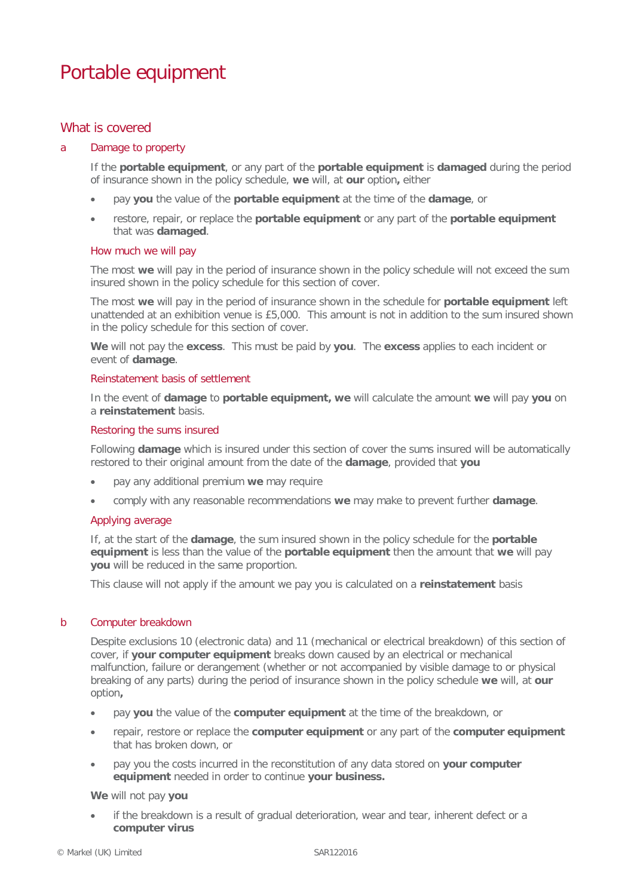# Portable equipment

# What is covered

## a Damage to property

If the **portable equipment**, or any part of the **portable equipment** is **damaged** during the period of insurance shown in the policy schedule, **we** will, at **our** option**,** either

- pay **you** the value of the **portable equipment** at the time of the **damage**, or
- restore, repair, or replace the **portable equipment** or any part of the **portable equipment** that was **damaged**.

#### How much we will pay

The most **we** will pay in the period of insurance shown in the policy schedule will not exceed the sum insured shown in the policy schedule for this section of cover.

The most **we** will pay in the period of insurance shown in the schedule for **portable equipment** left unattended at an exhibition venue is £5,000. This amount is not in addition to the sum insured shown in the policy schedule for this section of cover.

**We** will not pay the **excess**. This must be paid by **you**. The **excess** applies to each incident or event of **damage**.

## Reinstatement basis of settlement

In the event of **damage** to **portable equipment, we** will calculate the amount **we** will pay **you** on a **reinstatement** basis.

## Restoring the sums insured

Following **damage** which is insured under this section of cover the sums insured will be automatically restored to their original amount from the date of the **damage**, provided that **you**

- pay any additional premium **we** may require
- comply with any reasonable recommendations **we** may make to prevent further **damage**.

## Applying average

If, at the start of the **damage**, the sum insured shown in the policy schedule for the **portable equipment** is less than the value of the **portable equipment** then the amount that **we** will pay **you** will be reduced in the same proportion.

This clause will not apply if the amount we pay you is calculated on a **reinstatement** basis

## b Computer breakdown

Despite exclusions 10 (electronic data) and 11 (mechanical or electrical breakdown) of this section of cover, if **your computer equipment** breaks down caused by an electrical or mechanical malfunction, failure or derangement (whether or not accompanied by visible damage to or physical breaking of any parts) during the period of insurance shown in the policy schedule **we** will, at **our** option**,** 

- pay **you** the value of the **computer equipment** at the time of the breakdown, or
- repair, restore or replace the **computer equipment** or any part of the **computer equipment** that has broken down, or
- pay you the costs incurred in the reconstitution of any data stored on **your computer equipment** needed in order to continue **your business.**

## **We** will not pay **you**

if the breakdown is a result of gradual deterioration, wear and tear, inherent defect or a **computer virus**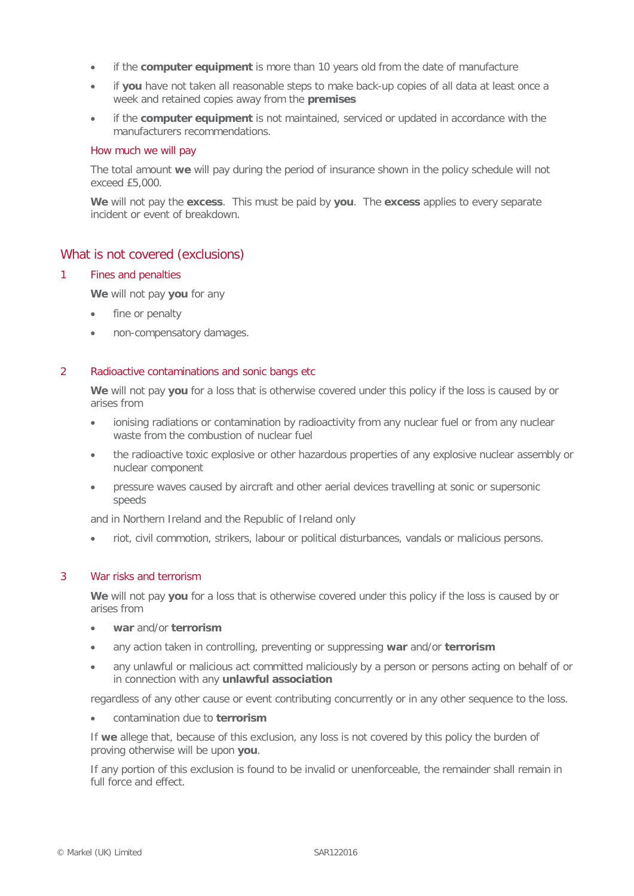- if the **computer equipment** is more than 10 years old from the date of manufacture
- if **you** have not taken all reasonable steps to make back-up copies of all data at least once a week and retained copies away from the **premises**
- if the **computer equipment** is not maintained, serviced or updated in accordance with the manufacturers recommendations.

## How much we will pay

The total amount **we** will pay during the period of insurance shown in the policy schedule will not exceed £5,000.

**We** will not pay the **excess**. This must be paid by **you**. The **excess** applies to every separate incident or event of breakdown.

## What is not covered (exclusions)

## 1 Fines and penalties

**We** will not pay **you** for any

- fine or penalty
- non-compensatory damages.

## 2 Radioactive contaminations and sonic bangs etc

**We** will not pay **you** for a loss that is otherwise covered under this policy if the loss is caused by or arises from

- ionising radiations or contamination by radioactivity from any nuclear fuel or from any nuclear waste from the combustion of nuclear fuel
- the radioactive toxic explosive or other hazardous properties of any explosive nuclear assembly or nuclear component
- pressure waves caused by aircraft and other aerial devices travelling at sonic or supersonic speeds

and in Northern Ireland and the Republic of Ireland only

• riot, civil commotion, strikers, labour or political disturbances, vandals or malicious persons.

## 3 War risks and terrorism

**We** will not pay **you** for a loss that is otherwise covered under this policy if the loss is caused by or arises from

- **war** and/or **terrorism**
- any action taken in controlling, preventing or suppressing **war** and/or **terrorism**
- any unlawful or malicious act committed maliciously by a person or persons acting on behalf of or in connection with any **unlawful association**

regardless of any other cause or event contributing concurrently or in any other sequence to the loss.

• contamination due to **terrorism**

If **we** allege that, because of this exclusion, any loss is not covered by this policy the burden of proving otherwise will be upon **you**.

If any portion of this exclusion is found to be invalid or unenforceable, the remainder shall remain in full force and effect.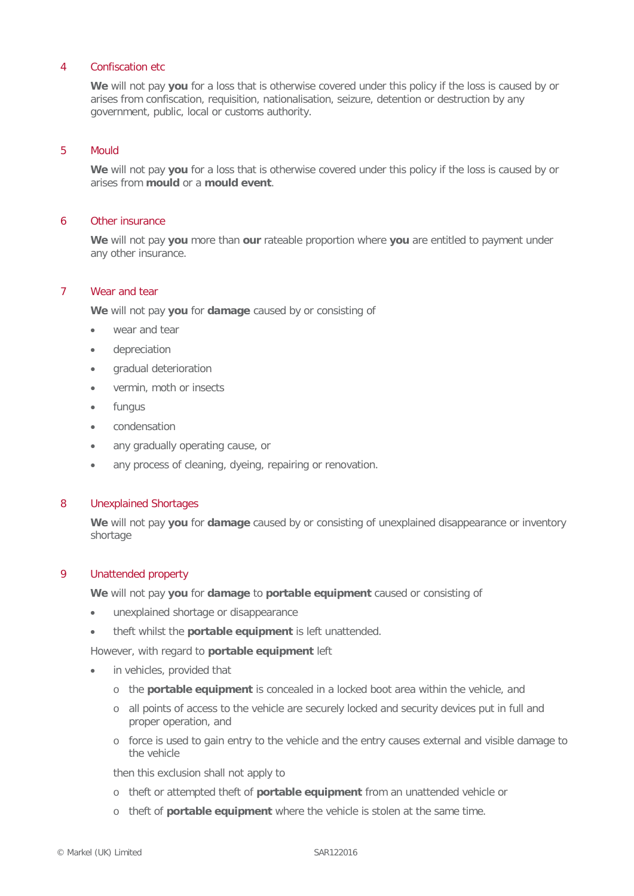## 4 Confiscation etc

**We** will not pay **you** for a loss that is otherwise covered under this policy if the loss is caused by or arises from confiscation, requisition, nationalisation, seizure, detention or destruction by any government, public, local or customs authority.

## 5 Mould

**We** will not pay **you** for a loss that is otherwise covered under this policy if the loss is caused by or arises from **mould** or a **mould event**.

#### 6 Other insurance

**We** will not pay **you** more than **our** rateable proportion where **you** are entitled to payment under any other insurance.

## 7 Wear and tear

**We** will not pay **you** for **damage** caused by or consisting of

- wear and tear
- depreciation
- gradual deterioration
- vermin, moth or insects
- **fungus**
- condensation
- any gradually operating cause, or
- any process of cleaning, dyeing, repairing or renovation.

#### 8 Unexplained Shortages

**We** will not pay **you** for **damage** caused by or consisting of unexplained disappearance or inventory shortage

#### 9 Unattended property

**We** will not pay **you** for **damage** to **portable equipment** caused or consisting of

- unexplained shortage or disappearance
- theft whilst the **portable equipment** is left unattended.

However, with regard to **portable equipment** left

- in vehicles, provided that
	- o the **portable equipment** is concealed in a locked boot area within the vehicle, and
	- o all points of access to the vehicle are securely locked and security devices put in full and proper operation, and
	- o force is used to gain entry to the vehicle and the entry causes external and visible damage to the vehicle

then this exclusion shall not apply to

- o theft or attempted theft of **portable equipment** from an unattended vehicle or
- o theft of **portable equipment** where the vehicle is stolen at the same time.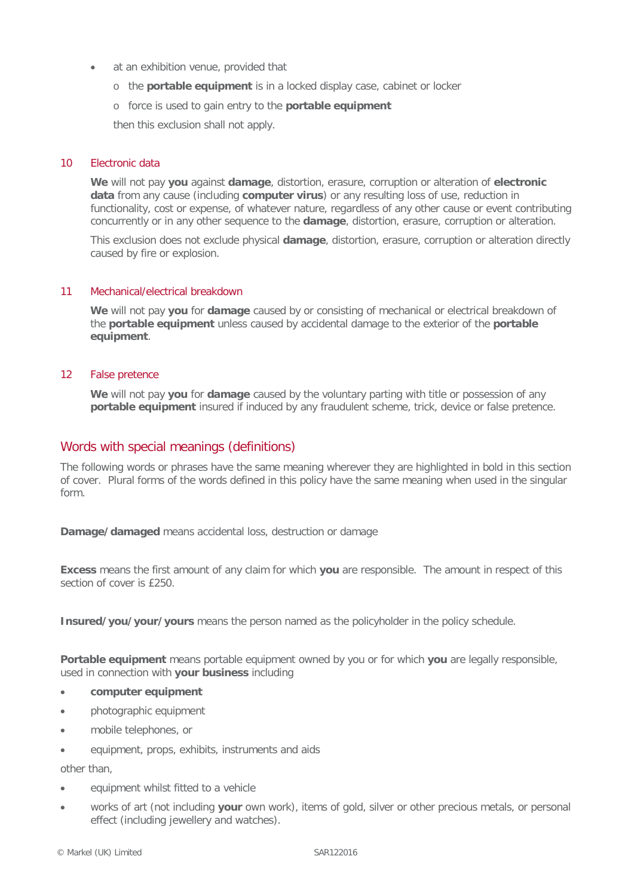- at an exhibition venue, provided that
	- o the **portable equipment** is in a locked display case, cabinet or locker
	- o force is used to gain entry to the **portable equipment**

then this exclusion shall not apply.

## 10 Electronic data

**We** will not pay **you** against **damage**, distortion, erasure, corruption or alteration of **electronic data** from any cause (including **computer virus**) or any resulting loss of use, reduction in functionality, cost or expense, of whatever nature, regardless of any other cause or event contributing concurrently or in any other sequence to the **damage**, distortion, erasure, corruption or alteration.

This exclusion does not exclude physical **damage**, distortion, erasure, corruption or alteration directly caused by fire or explosion.

## 11 Mechanical/electrical breakdown

**We** will not pay **you** for **damage** caused by or consisting of mechanical or electrical breakdown of the **portable equipment** unless caused by accidental damage to the exterior of the **portable equipment**.

## 12 False pretence

**We** will not pay **you** for **damage** caused by the voluntary parting with title or possession of any **portable equipment** insured if induced by any fraudulent scheme, trick, device or false pretence.

# Words with special meanings (definitions)

The following words or phrases have the same meaning wherever they are highlighted in bold in this section of cover. Plural forms of the words defined in this policy have the same meaning when used in the singular form.

**Damage/damaged** means accidental loss, destruction or damage

**Excess** means the first amount of any claim for which **you** are responsible. The amount in respect of this section of cover is £250.

**Insured/you/your/yours** means the person named as the policyholder in the policy schedule.

**Portable equipment** means portable equipment owned by you or for which **you** are legally responsible, used in connection with **your business** including

- **computer equipment**
- photographic equipment
- mobile telephones, or
- equipment, props, exhibits, instruments and aids

other than,

- equipment whilst fitted to a vehicle
- works of art (not including **your** own work), items of gold, silver or other precious metals, or personal effect (including jewellery and watches).